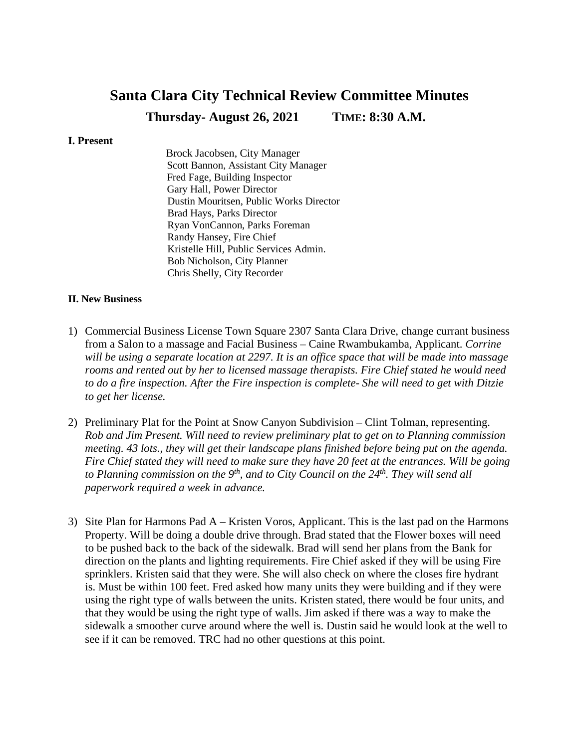## **Santa Clara City Technical Review Committee Minutes**

 **Thursday- August 26, 2021 TIME: 8:30 A.M.** 

## **I. Present**

Brock Jacobsen, City Manager Scott Bannon, Assistant City Manager Fred Fage, Building Inspector Gary Hall, Power Director Dustin Mouritsen, Public Works Director Brad Hays, Parks Director Ryan VonCannon, Parks Foreman Randy Hansey, Fire Chief Kristelle Hill, Public Services Admin. Bob Nicholson, City Planner Chris Shelly, City Recorder

## **II. New Business**

- 1) Commercial Business License Town Square 2307 Santa Clara Drive, change currant business from a Salon to a massage and Facial Business – Caine Rwambukamba, Applicant. *Corrine will be using a separate location at 2297. It is an office space that will be made into massage rooms and rented out by her to licensed massage therapists. Fire Chief stated he would need to do a fire inspection. After the Fire inspection is complete- She will need to get with Ditzie to get her license.*
- 2) Preliminary Plat for the Point at Snow Canyon Subdivision Clint Tolman, representing. *Rob and Jim Present. Will need to review preliminary plat to get on to Planning commission meeting. 43 lots., they will get their landscape plans finished before being put on the agenda. Fire Chief stated they will need to make sure they have 20 feet at the entrances. Will be going to Planning commission on the 9th, and to City Council on the 24th. They will send all paperwork required a week in advance.*
- 3) Site Plan for Harmons Pad A Kristen Voros, Applicant. This is the last pad on the Harmons Property. Will be doing a double drive through. Brad stated that the Flower boxes will need to be pushed back to the back of the sidewalk. Brad will send her plans from the Bank for direction on the plants and lighting requirements. Fire Chief asked if they will be using Fire sprinklers. Kristen said that they were. She will also check on where the closes fire hydrant is. Must be within 100 feet. Fred asked how many units they were building and if they were using the right type of walls between the units. Kristen stated, there would be four units, and that they would be using the right type of walls. Jim asked if there was a way to make the sidewalk a smoother curve around where the well is. Dustin said he would look at the well to see if it can be removed. TRC had no other questions at this point.